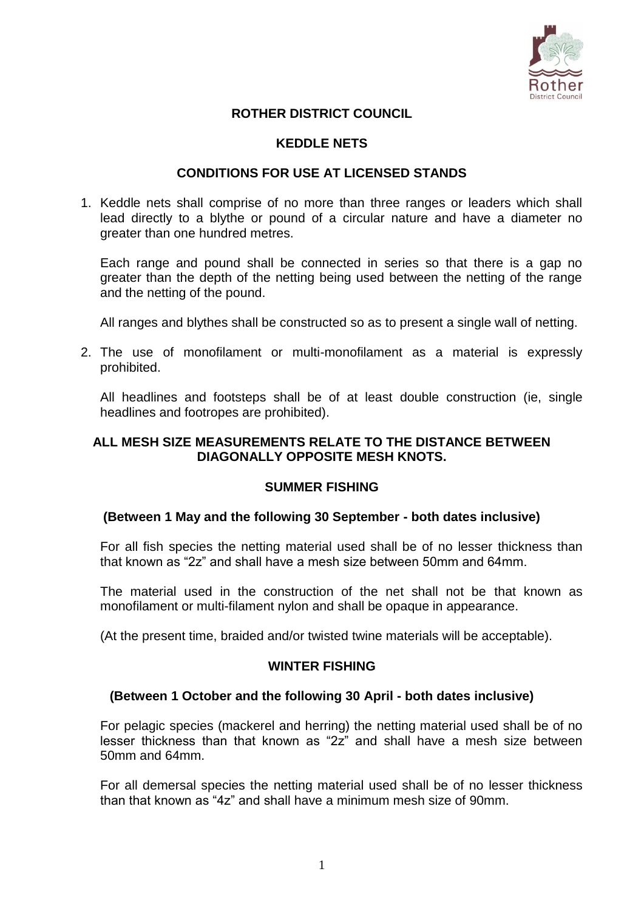

# **ROTHER DISTRICT COUNCIL**

### **KEDDLE NETS**

### **CONDITIONS FOR USE AT LICENSED STANDS**

1. Keddle nets shall comprise of no more than three ranges or leaders which shall lead directly to a blythe or pound of a circular nature and have a diameter no greater than one hundred metres.

Each range and pound shall be connected in series so that there is a gap no greater than the depth of the netting being used between the netting of the range and the netting of the pound.

All ranges and blythes shall be constructed so as to present a single wall of netting.

2. The use of monofilament or multi-monofilament as a material is expressly prohibited.

All headlines and footsteps shall be of at least double construction (ie, single headlines and footropes are prohibited).

### **ALL MESH SIZE MEASUREMENTS RELATE TO THE DISTANCE BETWEEN DIAGONALLY OPPOSITE MESH KNOTS.**

#### **SUMMER FISHING**

# **(Between 1 May and the following 30 September - both dates inclusive)**

For all fish species the netting material used shall be of no lesser thickness than that known as "2z" and shall have a mesh size between 50mm and 64mm.

The material used in the construction of the net shall not be that known as monofilament or multi-filament nylon and shall be opaque in appearance.

(At the present time, braided and/or twisted twine materials will be acceptable).

#### **WINTER FISHING**

# **(Between 1 October and the following 30 April - both dates inclusive)**

For pelagic species (mackerel and herring) the netting material used shall be of no lesser thickness than that known as "2z" and shall have a mesh size between 50mm and 64mm.

For all demersal species the netting material used shall be of no lesser thickness than that known as "4z" and shall have a minimum mesh size of 90mm.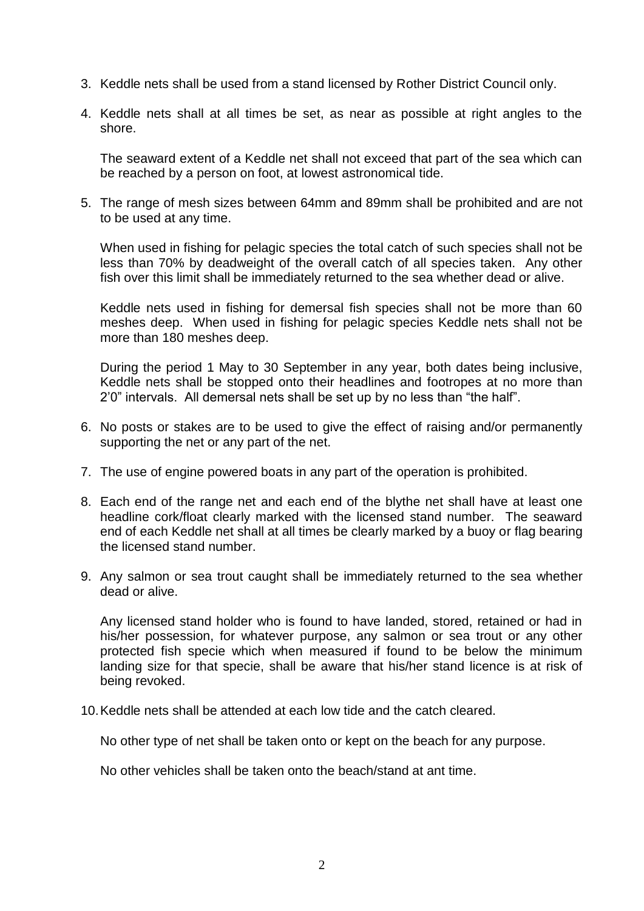- 3. Keddle nets shall be used from a stand licensed by Rother District Council only.
- 4. Keddle nets shall at all times be set, as near as possible at right angles to the shore.

The seaward extent of a Keddle net shall not exceed that part of the sea which can be reached by a person on foot, at lowest astronomical tide.

5. The range of mesh sizes between 64mm and 89mm shall be prohibited and are not to be used at any time.

When used in fishing for pelagic species the total catch of such species shall not be less than 70% by deadweight of the overall catch of all species taken. Any other fish over this limit shall be immediately returned to the sea whether dead or alive.

Keddle nets used in fishing for demersal fish species shall not be more than 60 meshes deep. When used in fishing for pelagic species Keddle nets shall not be more than 180 meshes deep.

During the period 1 May to 30 September in any year, both dates being inclusive, Keddle nets shall be stopped onto their headlines and footropes at no more than 2'0" intervals. All demersal nets shall be set up by no less than "the half".

- 6. No posts or stakes are to be used to give the effect of raising and/or permanently supporting the net or any part of the net.
- 7. The use of engine powered boats in any part of the operation is prohibited.
- 8. Each end of the range net and each end of the blythe net shall have at least one headline cork/float clearly marked with the licensed stand number. The seaward end of each Keddle net shall at all times be clearly marked by a buoy or flag bearing the licensed stand number.
- 9. Any salmon or sea trout caught shall be immediately returned to the sea whether dead or alive.

Any licensed stand holder who is found to have landed, stored, retained or had in his/her possession, for whatever purpose, any salmon or sea trout or any other protected fish specie which when measured if found to be below the minimum landing size for that specie, shall be aware that his/her stand licence is at risk of being revoked.

10.Keddle nets shall be attended at each low tide and the catch cleared.

No other type of net shall be taken onto or kept on the beach for any purpose.

No other vehicles shall be taken onto the beach/stand at ant time.